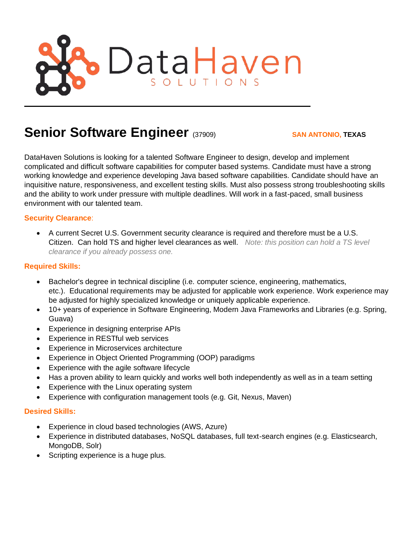

# **Senior Software Engineer** (37909) **SAN ANTONIO, TEXAS**

DataHaven Solutions is looking for a talented Software Engineer to design, develop and implement complicated and difficult software capabilities for computer based systems. Candidate must have a strong working knowledge and experience developing Java based software capabilities. Candidate should have an inquisitive nature, responsiveness, and excellent testing skills. Must also possess strong troubleshooting skills and the ability to work under pressure with multiple deadlines. Will work in a fast-paced, small business environment with our talented team.

### **Security Clearance**:

• A current Secret U.S. Government security clearance is required and therefore must be a U.S. Citizen. Can hold TS and higher level clearances as well. *Note: this position can hold a TS level clearance if you already possess one.* 

#### **Required Skills:**

- Bachelor's degree in technical discipline (i.e. computer science, engineering, mathematics, etc.). Educational requirements may be adjusted for applicable work experience. Work experience may be adjusted for highly specialized knowledge or uniquely applicable experience.
- 10+ years of experience in Software Engineering, Modern Java Frameworks and Libraries (e.g. Spring, Guava)
- Experience in designing enterprise APIs
- Experience in RESTful web services
- Experience in Microservices architecture
- Experience in Object Oriented Programming (OOP) paradigms
- Experience with the agile software lifecycle
- Has a proven ability to learn quickly and works well both independently as well as in a team setting
- Experience with the Linux operating system
- Experience with configuration management tools (e.g. Git, Nexus, Maven)

#### **Desired Skills:**

- Experience in cloud based technologies (AWS, Azure)
- Experience in distributed databases, NoSQL databases, full text-search engines (e.g. Elasticsearch, MongoDB, Solr)
- Scripting experience is a huge plus.